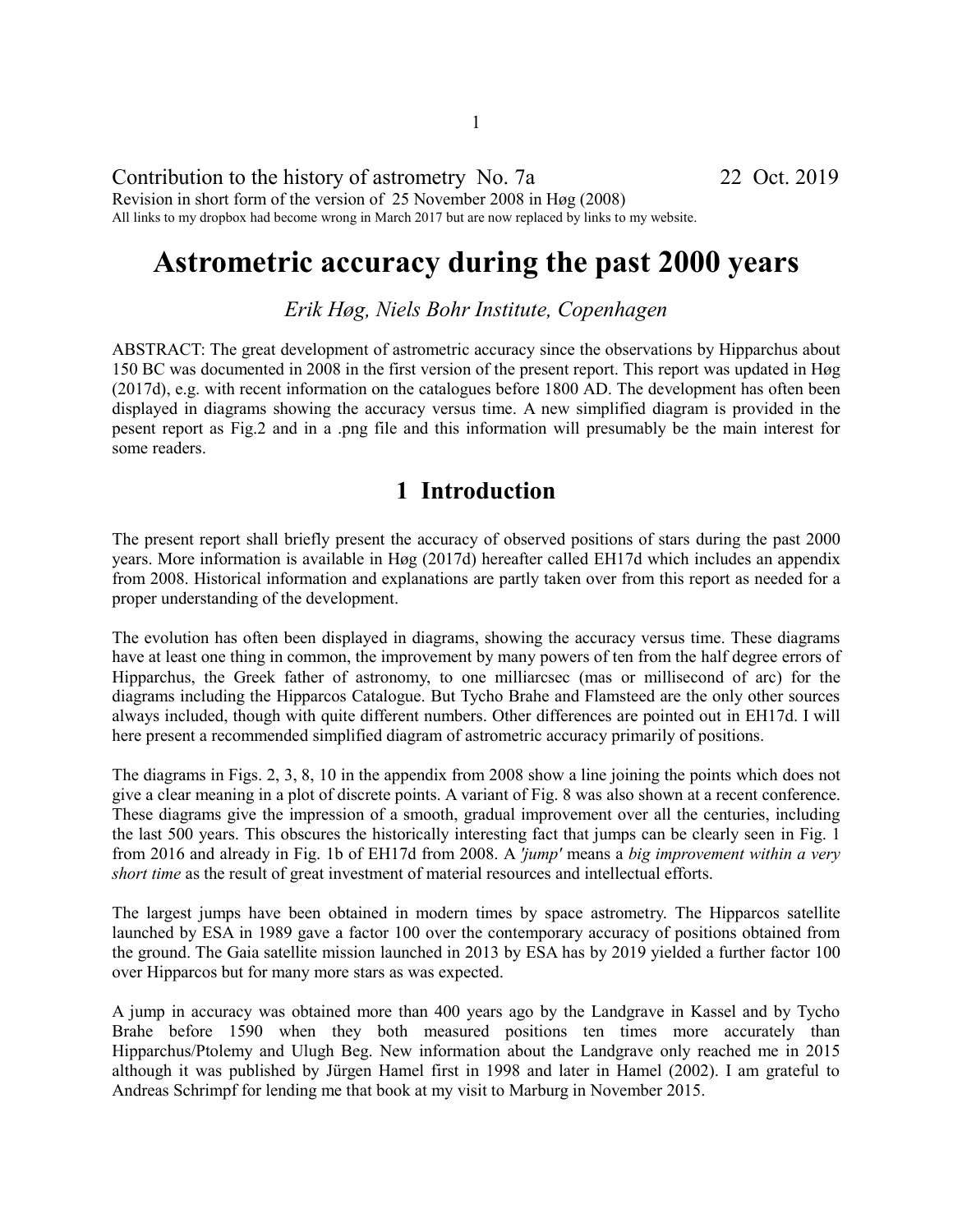#### Contribution to the history of astrometry No. 7a 22 Oct. 2019 Revision in short form of the version of 25 November 2008 in Høg (2008) All links to my dropbox had become wrong in March 2017 but are now replaced by links to my website.

# **Astrometric accuracy during the past 2000 years**

*Erik Høg, Niels Bohr Institute, Copenhagen*

ABSTRACT: The great development of astrometric accuracy since the observations by Hipparchus about 150 BC was documented in 2008 in the first version of the present report. This report was updated in Høg (2017d), e.g. with recent information on the catalogues before 1800 AD. The development has often been displayed in diagrams showing the accuracy versus time. A new simplified diagram is provided in the pesent report as Fig.2 and in a .png file and this information will presumably be the main interest for some readers.

### **1 Introduction**

The present report shall briefly present the accuracy of observed positions of stars during the past 2000 years. More information is available in Høg (2017d) hereafter called EH17d which includes an appendix from 2008. Historical information and explanations are partly taken over from this report as needed for a proper understanding of the development.

The evolution has often been displayed in diagrams, showing the accuracy versus time. These diagrams have at least one thing in common, the improvement by many powers of ten from the half degree errors of Hipparchus, the Greek father of astronomy, to one milliarcsec (mas or millisecond of arc) for the diagrams including the Hipparcos Catalogue. But Tycho Brahe and Flamsteed are the only other sources always included, though with quite different numbers. Other differences are pointed out in EH17d. I will here present a recommended simplified diagram of astrometric accuracy primarily of positions.

The diagrams in Figs. 2, 3, 8, 10 in the appendix from 2008 show a line joining the points which does not give a clear meaning in a plot of discrete points. A variant of Fig. 8 was also shown at a recent conference. These diagrams give the impression of a smooth, gradual improvement over all the centuries, including the last 500 years. This obscures the historically interesting fact that jumps can be clearly seen in Fig. 1 from 2016 and already in Fig. 1b of EH17d from 2008. A *'jump'* means a *big improvement within a very short time* as the result of great investment of material resources and intellectual efforts.

The largest jumps have been obtained in modern times by space astrometry. The Hipparcos satellite launched by ESA in 1989 gave a factor 100 over the contemporary accuracy of positions obtained from the ground. The Gaia satellite mission launched in 2013 by ESA has by 2019 yielded a further factor 100 over Hipparcos but for many more stars as was expected.

A jump in accuracy was obtained more than 400 years ago by the Landgrave in Kassel and by Tycho Brahe before 1590 when they both measured positions ten times more accurately than Hipparchus/Ptolemy and Ulugh Beg. New information about the Landgrave only reached me in 2015 although it was published by Jürgen Hamel first in 1998 and later in Hamel (2002). I am grateful to Andreas Schrimpf for lending me that book at my visit to Marburg in November 2015.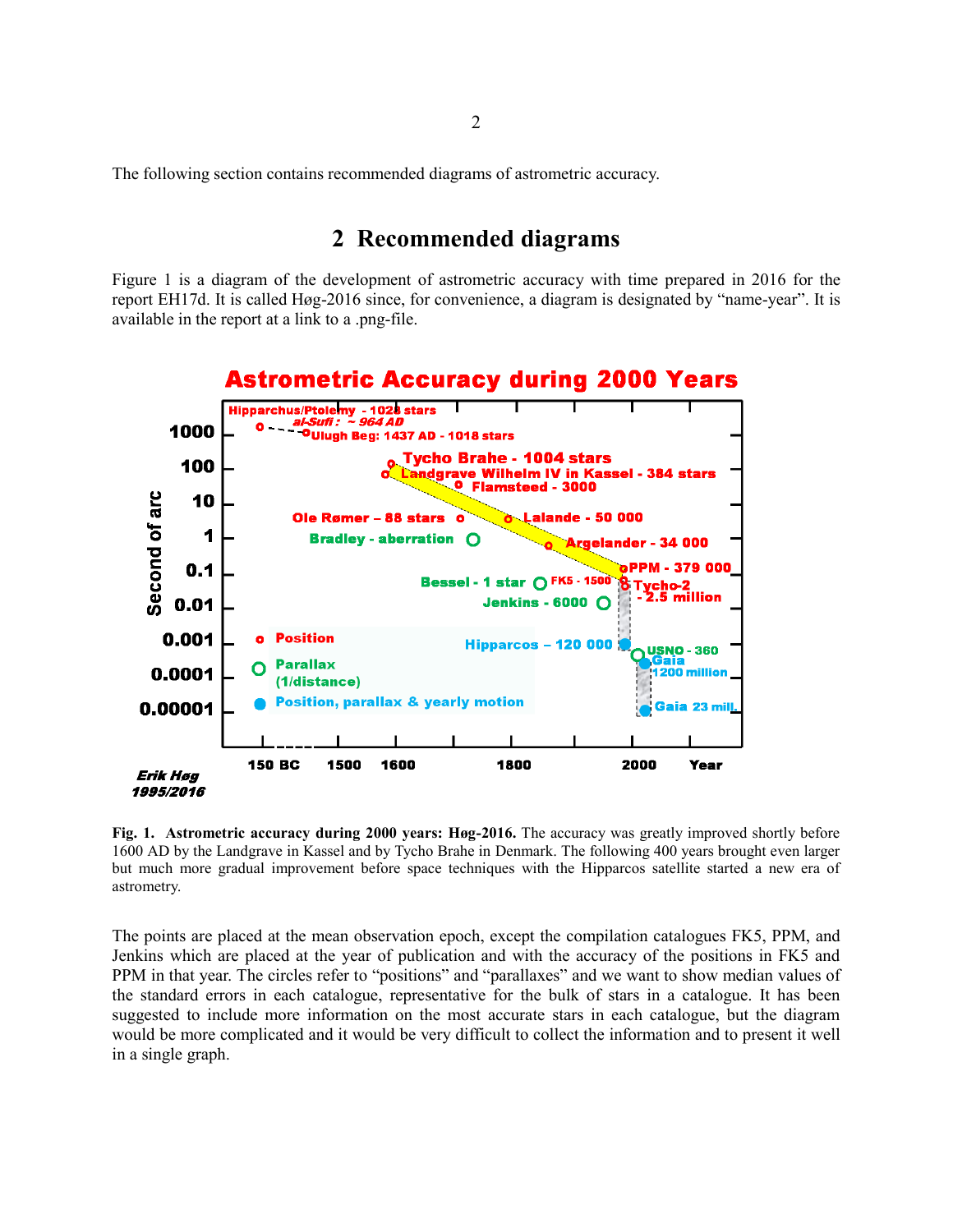The following section contains recommended diagrams of astrometric accuracy.

#### **2 Recommended diagrams**

Figure 1 is a diagram of the development of astrometric accuracy with time prepared in 2016 for the report EH17d. It is called Høg-2016 since, for convenience, a diagram is designated by "name-year". It is available in the report at a link to a .png-file.



**Fig. 1. Astrometric accuracy during 2000 years: Høg-2016.** The accuracy was greatly improved shortly before 1600 AD by the Landgrave in Kassel and by Tycho Brahe in Denmark. The following 400 years brought even larger but much more gradual improvement before space techniques with the Hipparcos satellite started a new era of astrometry.

The points are placed at the mean observation epoch, except the compilation catalogues FK5, PPM, and Jenkins which are placed at the year of publication and with the accuracy of the positions in FK5 and PPM in that year. The circles refer to "positions" and "parallaxes" and we want to show median values of the standard errors in each catalogue, representative for the bulk of stars in a catalogue. It has been suggested to include more information on the most accurate stars in each catalogue, but the diagram would be more complicated and it would be very difficult to collect the information and to present it well in a single graph.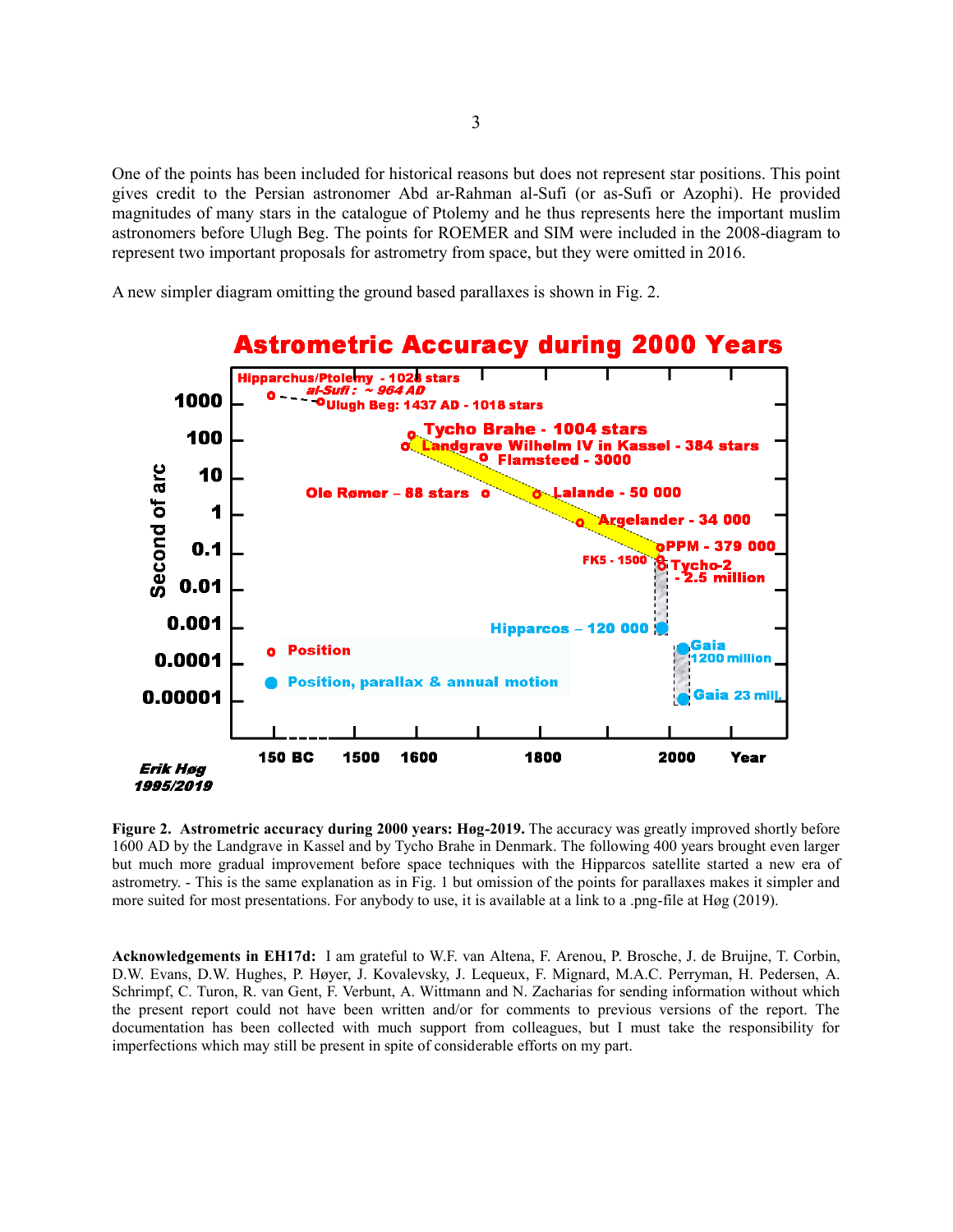One of the points has been included for historical reasons but does not represent star positions. This point gives credit to the Persian astronomer Abd ar-Rahman al-Sufi (or as-Sufi or Azophi). He provided magnitudes of many stars in the catalogue of Ptolemy and he thus represents here the important muslim astronomers before Ulugh Beg. The points for ROEMER and SIM were included in the 2008-diagram to represent two important proposals for astrometry from space, but they were omitted in 2016.

A new simpler diagram omitting the ground based parallaxes is shown in Fig. 2.



**Figure 2. Astrometric accuracy during 2000 years: Høg-2019.** The accuracy was greatly improved shortly before 1600 AD by the Landgrave in Kassel and by Tycho Brahe in Denmark. The following 400 years brought even larger but much more gradual improvement before space techniques with the Hipparcos satellite started a new era of astrometry. - This is the same explanation as in Fig. 1 but omission of the points for parallaxes makes it simpler and more suited for most presentations. For anybody to use, it is available at a link to a .png-file at Høg (2019).

**Acknowledgements in EH17d:** I am grateful to W.F. van Altena, F. Arenou, P. Brosche, J. de Bruijne, T. Corbin, D.W. Evans, D.W. Hughes, P. Høyer, J. Kovalevsky, J. Lequeux, F. Mignard, M.A.C. Perryman, H. Pedersen, A. Schrimpf, C. Turon, R. van Gent, F. Verbunt, A. Wittmann and N. Zacharias for sending information without which the present report could not have been written and/or for comments to previous versions of the report. The documentation has been collected with much support from colleagues, but I must take the responsibility for imperfections which may still be present in spite of considerable efforts on my part.